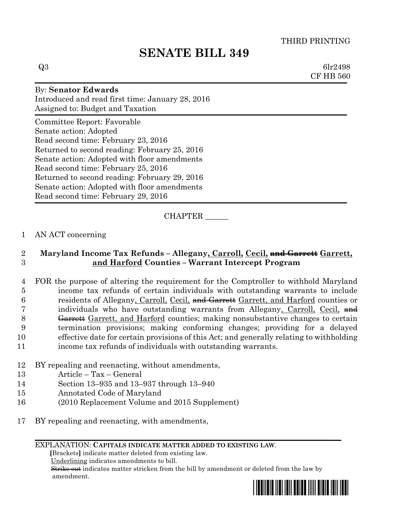# **SENATE BILL 349**

 $Q3 \hspace{2.5cm} \text{6lr2498}$ CF HB 560

# By: **Senator Edwards** Introduced and read first time: January 28, 2016 Assigned to: Budget and Taxation Committee Report: Favorable Senate action: Adopted Read second time: February 23, 2016 Returned to second reading: February 25, 2016 Senate action: Adopted with floor amendments Read second time: February 25, 2016 Returned to second reading: February 29, 2016 Senate action: Adopted with floor amendments Read second time: February 29, 2016

# CHAPTER \_\_\_\_\_\_

### 1 AN ACT concerning

## 2 **Maryland Income Tax Refunds – Allegany, Carroll, Cecil, and Garrett Garrett,**  3 **and Harford Counties – Warrant Intercept Program**

 FOR the purpose of altering the requirement for the Comptroller to withhold Maryland income tax refunds of certain individuals with outstanding warrants to include 6 residents of Allegany, Carroll, Cecil, and Garrett Garrett, and Harford counties or 7 individuals who have outstanding warrants from Allegany, Carroll, Cecil,  $\theta$ 8 <del>Garrett</del> Garrett, and Harford counties; making nonsubstantive changes to certain termination provisions; making conforming changes; providing for a delayed effective date for certain provisions of this Act; and generally relating to withholding income tax refunds of individuals with outstanding warrants.

- 12 BY repealing and reenacting, without amendments,
- 13 Article Tax General
- 14 Section 13–935 and 13–937 through 13–940
- 15 Annotated Code of Maryland
- 16 (2010 Replacement Volume and 2015 Supplement)
- 17 BY repealing and reenacting, with amendments,

#### EXPLANATION: **CAPITALS INDICATE MATTER ADDED TO EXISTING LAW**.

 **[**Brackets**]** indicate matter deleted from existing law.

Underlining indicates amendments to bill.

 Strike out indicates matter stricken from the bill by amendment or deleted from the law by amendment.

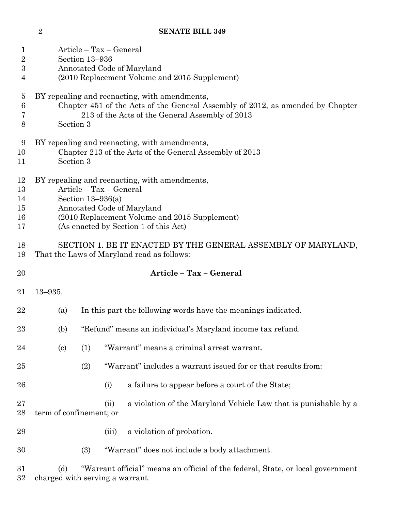**SENATE BILL 349**

| $\mathbf{1}$<br>$\sqrt{2}$<br>3<br>4 | Article – Tax – General<br>Section 13-936<br>Annotated Code of Maryland<br>(2010 Replacement Volume and 2015 Supplement)                                                                                                |                                                                                                                    |       |                                                                 |  |  |
|--------------------------------------|-------------------------------------------------------------------------------------------------------------------------------------------------------------------------------------------------------------------------|--------------------------------------------------------------------------------------------------------------------|-------|-----------------------------------------------------------------|--|--|
| $\overline{5}$<br>6<br>7<br>8        | BY repealing and reenacting, with amendments,<br>Chapter 451 of the Acts of the General Assembly of 2012, as amended by Chapter<br>213 of the Acts of the General Assembly of 2013<br>Section 3                         |                                                                                                                    |       |                                                                 |  |  |
| 9<br>10<br>11                        | BY repealing and reenacting, with amendments,<br>Chapter 213 of the Acts of the General Assembly of 2013<br>Section 3                                                                                                   |                                                                                                                    |       |                                                                 |  |  |
| 12<br>13<br>14<br>15<br>16<br>17     | BY repealing and reenacting, with amendments,<br>Article - Tax - General<br>Section $13-936(a)$<br>Annotated Code of Maryland<br>(2010 Replacement Volume and 2015 Supplement)<br>(As enacted by Section 1 of this Act) |                                                                                                                    |       |                                                                 |  |  |
| 18<br>19                             | SECTION 1. BE IT ENACTED BY THE GENERAL ASSEMBLY OF MARYLAND,<br>That the Laws of Maryland read as follows:                                                                                                             |                                                                                                                    |       |                                                                 |  |  |
| 20                                   |                                                                                                                                                                                                                         |                                                                                                                    |       | Article - Tax - General                                         |  |  |
| 21                                   | $13 - 935.$                                                                                                                                                                                                             |                                                                                                                    |       |                                                                 |  |  |
| 22                                   | (a)                                                                                                                                                                                                                     |                                                                                                                    |       | In this part the following words have the meanings indicated.   |  |  |
| 23                                   | (b)                                                                                                                                                                                                                     | "Refund" means an individual's Maryland income tax refund.                                                         |       |                                                                 |  |  |
| 24                                   | $\left( \text{c}\right)$                                                                                                                                                                                                | (1)                                                                                                                |       | "Warrant" means a criminal arrest warrant.                      |  |  |
| 25                                   |                                                                                                                                                                                                                         | (2)                                                                                                                |       | "Warrant" includes a warrant issued for or that results from:   |  |  |
| 26                                   |                                                                                                                                                                                                                         |                                                                                                                    | (i)   | a failure to appear before a court of the State;                |  |  |
| 27<br>28                             | term of confinement; or                                                                                                                                                                                                 |                                                                                                                    | (ii)  | a violation of the Maryland Vehicle Law that is punishable by a |  |  |
| 29                                   |                                                                                                                                                                                                                         |                                                                                                                    | (iii) | a violation of probation.                                       |  |  |
| 30                                   |                                                                                                                                                                                                                         | (3)                                                                                                                |       | "Warrant" does not include a body attachment.                   |  |  |
| 31<br>32                             | (d)                                                                                                                                                                                                                     | "Warrant official" means an official of the federal, State, or local government<br>charged with serving a warrant. |       |                                                                 |  |  |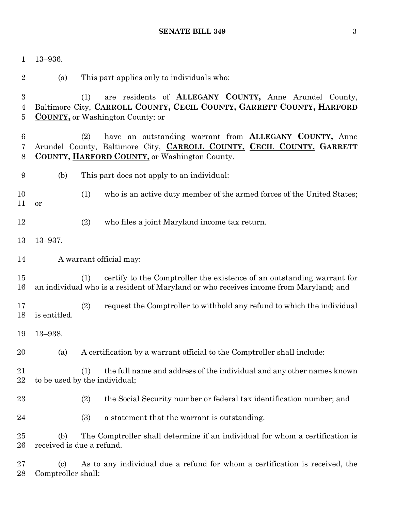### **SENATE BILL 349** 3

| $\mathbf 1$                             | $13 - 936.$                                                                                                                                                                                            |  |  |  |  |
|-----------------------------------------|--------------------------------------------------------------------------------------------------------------------------------------------------------------------------------------------------------|--|--|--|--|
| $\overline{2}$                          | This part applies only to individuals who:<br>(a)                                                                                                                                                      |  |  |  |  |
| $\boldsymbol{3}$<br>$\overline{4}$<br>5 | are residents of ALLEGANY COUNTY, Anne Arundel County,<br>(1)<br>Baltimore City, CARROLL COUNTY, CECIL COUNTY, GARRETT COUNTY, HARFORD<br><b>COUNTY</b> , or Washington County; or                     |  |  |  |  |
| 6<br>7<br>8                             | have an outstanding warrant from <b>ALLEGANY COUNTY</b> , Anne<br>(2)<br>Arundel County, Baltimore City, CARROLL COUNTY, CECIL COUNTY, GARRETT<br><b>COUNTY, HARFORD COUNTY, or Washington County.</b> |  |  |  |  |
| 9                                       | (b)<br>This part does not apply to an individual:                                                                                                                                                      |  |  |  |  |
| 10<br>11                                | (1)<br>who is an active duty member of the armed forces of the United States;<br>or                                                                                                                    |  |  |  |  |
| 12                                      | (2)<br>who files a joint Maryland income tax return.                                                                                                                                                   |  |  |  |  |
| 13                                      | $13 - 937.$                                                                                                                                                                                            |  |  |  |  |
| 14                                      | A warrant official may:                                                                                                                                                                                |  |  |  |  |
| 15<br>16                                | certify to the Comptroller the existence of an outstanding warrant for<br>(1)<br>an individual who is a resident of Maryland or who receives income from Maryland; and                                 |  |  |  |  |
| 17<br>18                                | (2)<br>request the Comptroller to withhold any refund to which the individual<br>is entitled.                                                                                                          |  |  |  |  |
| 19                                      | $13 - 938.$                                                                                                                                                                                            |  |  |  |  |
| 20                                      | A certification by a warrant official to the Comptroller shall include:<br>(a)                                                                                                                         |  |  |  |  |
| 21<br>22                                | the full name and address of the individual and any other names known<br>(1)<br>to be used by the individual;                                                                                          |  |  |  |  |
| 23                                      | the Social Security number or federal tax identification number; and<br>(2)                                                                                                                            |  |  |  |  |
| 24                                      | (3)<br>a statement that the warrant is outstanding.                                                                                                                                                    |  |  |  |  |
| 25<br>26                                | The Comptroller shall determine if an individual for whom a certification is<br>(b)<br>received is due a refund.                                                                                       |  |  |  |  |
| $27\,$<br>28                            | As to any individual due a refund for whom a certification is received, the<br>$\left( \mathrm{c}\right)$<br>Comptroller shall:                                                                        |  |  |  |  |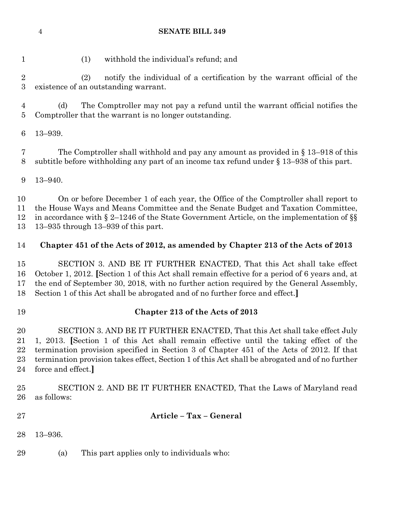#### **SENATE BILL 349**

(1) withhold the individual's refund; and

 (2) notify the individual of a certification by the warrant official of the existence of an outstanding warrant.

 (d) The Comptroller may not pay a refund until the warrant official notifies the Comptroller that the warrant is no longer outstanding.

13–939.

 The Comptroller shall withhold and pay any amount as provided in § 13–918 of this subtitle before withholding any part of an income tax refund under § 13–938 of this part.

13–940.

 On or before December 1 of each year, the Office of the Comptroller shall report to the House Ways and Means Committee and the Senate Budget and Taxation Committee, in accordance with § 2–1246 of the State Government Article, on the implementation of §§ 13–935 through 13–939 of this part.

### **Chapter 451 of the Acts of 2012, as amended by Chapter 213 of the Acts of 2013**

 SECTION 3. AND BE IT FURTHER ENACTED, That this Act shall take effect October 1, 2012. **[**Section 1 of this Act shall remain effective for a period of 6 years and, at the end of September 30, 2018, with no further action required by the General Assembly, Section 1 of this Act shall be abrogated and of no further force and effect.**]**

#### **Chapter 213 of the Acts of 2013**

 SECTION 3. AND BE IT FURTHER ENACTED, That this Act shall take effect July 1, 2013. **[**Section 1 of this Act shall remain effective until the taking effect of the termination provision specified in Section 3 of Chapter 451 of the Acts of 2012. If that termination provision takes effect, Section 1 of this Act shall be abrogated and of no further force and effect.**]**

 SECTION 2. AND BE IT FURTHER ENACTED, That the Laws of Maryland read as follows:

- **Article – Tax – General**
- 13–936.
- (a) This part applies only to individuals who: